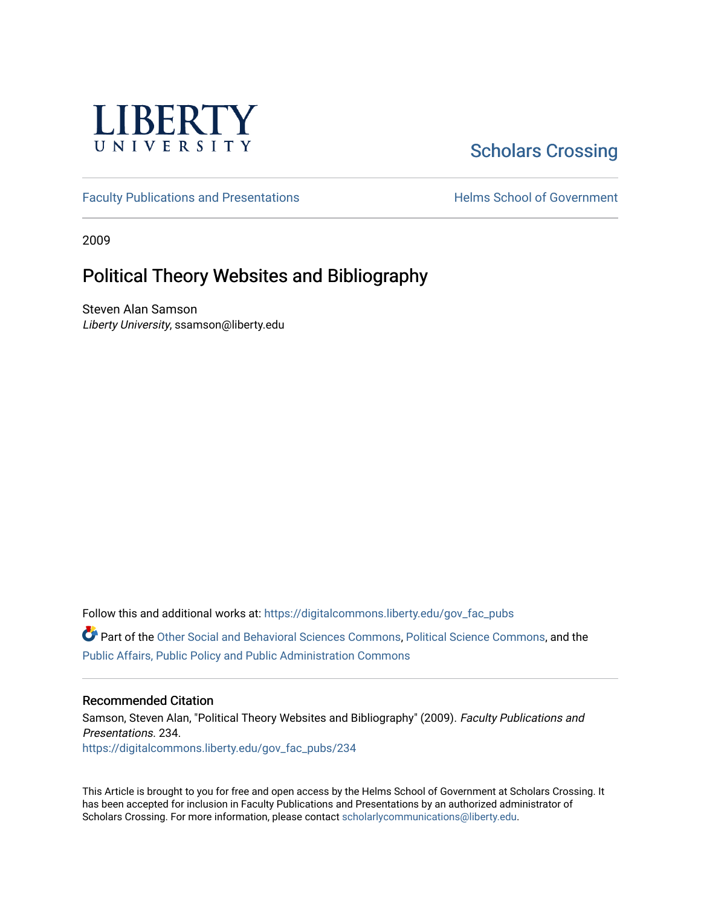

# [Scholars Crossing](https://digitalcommons.liberty.edu/)

[Faculty Publications and Presentations](https://digitalcommons.liberty.edu/gov_fac_pubs) **Exercise School of Government** 

2009

### Political Theory Websites and Bibliography

Steven Alan Samson Liberty University, ssamson@liberty.edu

Follow this and additional works at: [https://digitalcommons.liberty.edu/gov\\_fac\\_pubs](https://digitalcommons.liberty.edu/gov_fac_pubs?utm_source=digitalcommons.liberty.edu%2Fgov_fac_pubs%2F234&utm_medium=PDF&utm_campaign=PDFCoverPages)

Part of the [Other Social and Behavioral Sciences Commons](http://network.bepress.com/hgg/discipline/437?utm_source=digitalcommons.liberty.edu%2Fgov_fac_pubs%2F234&utm_medium=PDF&utm_campaign=PDFCoverPages), [Political Science Commons](http://network.bepress.com/hgg/discipline/386?utm_source=digitalcommons.liberty.edu%2Fgov_fac_pubs%2F234&utm_medium=PDF&utm_campaign=PDFCoverPages), and the [Public Affairs, Public Policy and Public Administration Commons](http://network.bepress.com/hgg/discipline/393?utm_source=digitalcommons.liberty.edu%2Fgov_fac_pubs%2F234&utm_medium=PDF&utm_campaign=PDFCoverPages)

#### Recommended Citation

Samson, Steven Alan, "Political Theory Websites and Bibliography" (2009). Faculty Publications and Presentations. 234. [https://digitalcommons.liberty.edu/gov\\_fac\\_pubs/234](https://digitalcommons.liberty.edu/gov_fac_pubs/234?utm_source=digitalcommons.liberty.edu%2Fgov_fac_pubs%2F234&utm_medium=PDF&utm_campaign=PDFCoverPages)

This Article is brought to you for free and open access by the Helms School of Government at Scholars Crossing. It has been accepted for inclusion in Faculty Publications and Presentations by an authorized administrator of Scholars Crossing. For more information, please contact [scholarlycommunications@liberty.edu.](mailto:scholarlycommunications@liberty.edu)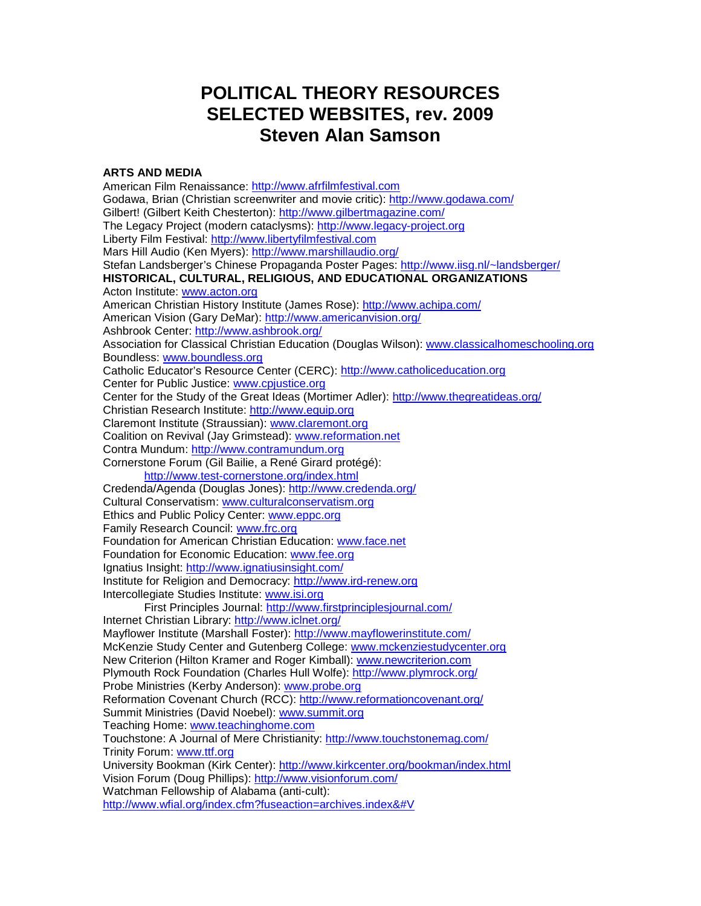## **POLITICAL THEORY RESOURCES SELECTED WEBSITES, rev. 2009 Steven Alan Samson**

#### **ARTS AND MEDIA**

American Film Renaissance: [http://www.afrfilmfestival.com](http://www.afrfilmfestival.com/) Godawa, Brian (Christian screenwriter and movie critic):<http://www.godawa.com/> Gilbert! (Gilbert Keith Chesterton):<http://www.gilbertmagazine.com/> The Legacy Project (modern cataclysms): [http://www.legacy-project.org](http://www.legacy-project.org/) Liberty Film Festival: [http://www.libertyfilmfestival.com](http://www.libertyfilmfestival.com/) Mars Hill Audio (Ken Myers):<http://www.marshillaudio.org/> Stefan Landsberger's Chinese Propaganda Poster Pages:<http://www.iisg.nl/~landsberger/> **HISTORICAL, CULTURAL, RELIGIOUS, AND EDUCATIONAL ORGANIZATIONS** Acton Institute: [www.acton.org](http://www.acton.org/) American Christian History Institute (James Rose):<http://www.achipa.com/> American Vision (Gary DeMar):<http://www.americanvision.org/> Ashbrook Center:<http://www.ashbrook.org/> Association for Classical Christian Education (Douglas Wilson): [www.classicalhomeschooling.org](http://www.classicalhomeschooling.org/) Boundless: [www.boundless.org](http://www.boundless.org/) Catholic Educator's Resource Center (CERC): [http://www.catholiceducation.org](http://www.catholiceducation.org/) Center for Public Justice: [www.cpjustice.org](http://www.cpjustice.org/) Center for the Study of the Great Ideas (Mortimer Adler):<http://www.thegreatideas.org/> Christian Research Institute: [http://www.equip.org](http://www.equip.org/) Claremont Institute (Straussian): [www.claremont.org](http://www.claremont.org/) Coalition on Revival (Jay Grimstead): [www.reformation.net](http://www.reformation.net/) Contra Mundum: [http://www.contramundum.org](http://www.contramundum.org/) Cornerstone Forum (Gil Bailie, a René Girard protégé): <http://www.test-cornerstone.org/index.html> Credenda/Agenda (Douglas Jones):<http://www.credenda.org/> Cultural Conservatism: [www.culturalconservatism.org](http://www.culturalconservatism.org/) Ethics and Public Policy Center: [www.eppc.org](http://www.eppc.org/) Family Research Council: [www.frc.org](http://www.frc.org/) Foundation for American Christian Education: [www.face.net](http://www.face.net/) Foundation for Economic Education: [www.fee.org](http://www.fee.org/) Ignatius Insight:<http://www.ignatiusinsight.com/> Institute for Religion and Democracy: [http://www.ird-renew.org](http://www.ird-renew.org/) Intercollegiate Studies Institute: [www.isi.org](http://www.isi.org/) First Principles Journal:<http://www.firstprinciplesjournal.com/> Internet Christian Library:<http://www.iclnet.org/> Mayflower Institute (Marshall Foster):<http://www.mayflowerinstitute.com/> McKenzie Study Center and Gutenberg College: [www.mckenziestudycenter.org](http://www.mckenziestudycenter.org/) New Criterion (Hilton Kramer and Roger Kimball): [www.newcriterion.com](http://www.newcriterion.com/) Plymouth Rock Foundation (Charles Hull Wolfe):<http://www.plymrock.org/> Probe Ministries (Kerby Anderson): [www.probe.org](http://www.probe.org/) Reformation Covenant Church (RCC):<http://www.reformationcovenant.org/> Summit Ministries (David Noebel): [www.summit.org](http://www.summit.org/) Teaching Home: [www.teachinghome.com](http://www.teachinghome.com/) Touchstone: A Journal of Mere Christianity:<http://www.touchstonemag.com/> Trinity Forum: [www.ttf.org](http://www.ttf.org/) University Bookman (Kirk Center):<http://www.kirkcenter.org/bookman/index.html> Vision Forum (Doug Phillips):<http://www.visionforum.com/> Watchman Fellowship of Alabama (anti-cult): <http://www.wfial.org/index.cfm?fuseaction=archives.index&#V>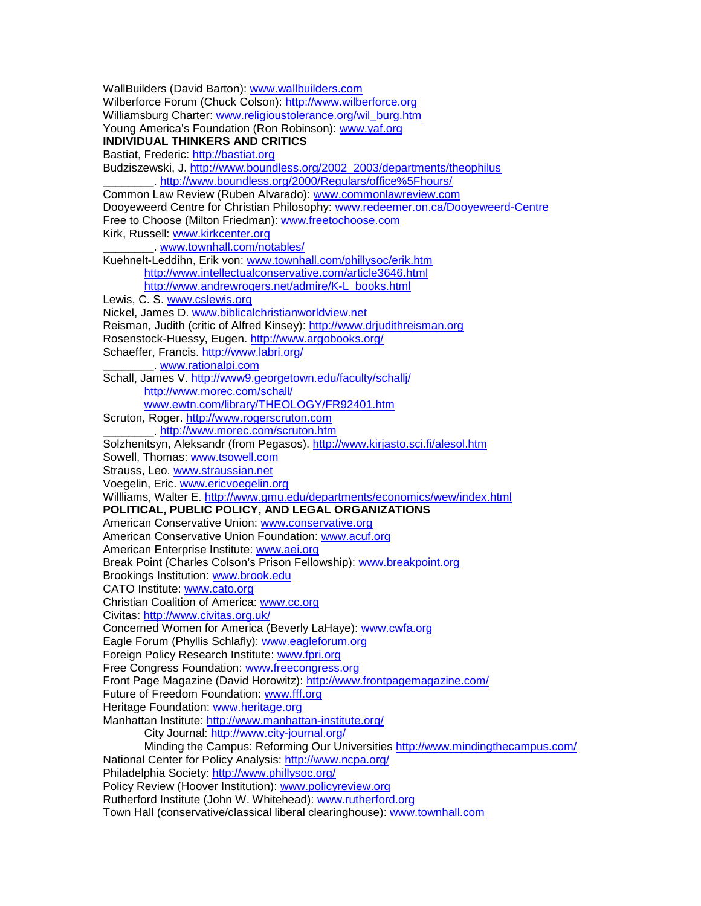WallBuilders (David Barton): [www.wallbuilders.com](http://www.wallbuilders.com/) Wilberforce Forum (Chuck Colson): [http://www.wilberforce.org](http://www.wilberforce.org/) Williamsburg Charter: [www.religioustolerance.org/wil\\_burg.htm](http://www.religioustolerance.org/wil_burg.htm) Young America's Foundation (Ron Robinson): [www.yaf.org](http://www.yaf.org/) **INDIVIDUAL THINKERS AND CRITICS** Bastiat, Frederic: [http://bastiat.org](http://bastiat.org/) Budziszewski, J. [http://www.boundless.org/2002\\_2003/departments/theophilus](http://www.boundless.org/2002_2003/departments/theophilus) \_\_\_\_\_\_\_\_. [http://www.boundless.org/2000/Regulars/office%5Fhours/](http://www.boundless.org/2000/Regulars/office_hours/) Common Law Review (Ruben Alvarado): [www.commonlawreview.com](http://www.commonlawreview.com/) Dooyeweerd Centre for Christian Philosophy: [www.redeemer.on.ca/Dooyeweerd-Centre](http://www.redeemer.on.ca/Dooyeweerd-Centre) Free to Choose (Milton Friedman): [www.freetochoose.com](http://www.freetochoose.com/) Kirk, Russell: [www.kirkcenter.org](http://www.kirkcenter.org/) [www.townhall.com/notables/](http://www.townhall.com/notables/) Kuehnelt-Leddihn, Erik von: [www.townhall.com/phillysoc/erik.htm](http://www.townhall.com/phillysoc/erik.htm) <http://www.intellectualconservative.com/article3646.html> [http://www.andrewrogers.net/admire/K-L\\_books.html](http://www.andrewrogers.net/admire/K-L_books.html) Lewis, C. S. [www.cslewis.org](http://www.cslewis.org/) Nickel, James D. [www.biblicalchristianworldview.net](http://www.biblicalchristianworldview.net/) Reisman, Judith (critic of Alfred Kinsey): [http://www.drjudithreisman.org](http://www.drjudithreisman.org/) Rosenstock-Huessy, Eugen.<http://www.argobooks.org/> Schaeffer, Francis.<http://www.labri.org/> \_\_\_\_\_\_\_\_. [www.rationalpi.com](http://www.rationalpi.com/) Schall, James V.<http://www9.georgetown.edu/faculty/schallj/> <http://www.morec.com/schall/> [www.ewtn.com/library/THEOLOGY/FR92401.htm](http://www.ewtn.com/library/THEOLOGY/FR92401.htm) Scruton, Roger. [http://www.rogerscruton.com](http://www.rogerscruton.com/) \_\_\_\_\_\_\_\_.<http://www.morec.com/scruton.htm> Solzhenitsyn, Aleksandr (from Pegasos).<http://www.kirjasto.sci.fi/alesol.htm> Sowell, Thomas[: www.tsowell.com](http://www.tsowell.com/) Strauss, Leo. [www.straussian.net](http://www.straussian.net/) Voegelin, Eric. [www.ericvoegelin.org](http://www.ericvoegelin.org/) Willliams, Walter E.<http://www.gmu.edu/departments/economics/wew/index.html> **POLITICAL, PUBLIC POLICY, AND LEGAL ORGANIZATIONS** American Conservative Union: [www.conservative.org](http://www.conservative.org/) American Conservative Union Foundation: [www.acuf.org](http://www.acuf.org/) American Enterprise Institute: [www.aei.org](http://www.aei.org/) Break Point (Charles Colson's Prison Fellowship): [www.breakpoint.org](http://www.breakpoint.org/) Brookings Institution: [www.brook.edu](http://www.brook.edu/) CATO Institute: [www.cato.org](http://www.cato.org/) Christian Coalition of America: [www.cc.org](http://www.cc.org/) Civitas:<http://www.civitas.org.uk/> Concerned Women for America (Beverly LaHaye): [www.cwfa.org](http://www.cwfa.org/) Eagle Forum (Phyllis Schlafly): [www.eagleforum.org](http://www.eagleforum.org/) Foreign Policy Research Institute: [www.fpri.org](http://www.fpri.org/) Free Congress Foundation: [www.freecongress.org](http://www.freecongress.org/) Front Page Magazine (David Horowitz):<http://www.frontpagemagazine.com/> Future of Freedom Foundation: [www.fff.org](http://www.fff.org/) Heritage Foundation: [www.heritage.org](http://www.heritage.org/) Manhattan Institute:<http://www.manhattan-institute.org/> City Journal:<http://www.city-journal.org/> Minding the Campus: Reforming Our Universities<http://www.mindingthecampus.com/> National Center for Policy Analysis:<http://www.ncpa.org/> Philadelphia Society:<http://www.phillysoc.org/> Policy Review (Hoover Institution): [www.policyreview.org](http://www.policyreview.org/) Rutherford Institute (John W. Whitehead): [www.rutherford.org](http://www.rutherford.org/) Town Hall (conservative/classical liberal clearinghouse): [www.townhall.com](http://www.townhall.com/)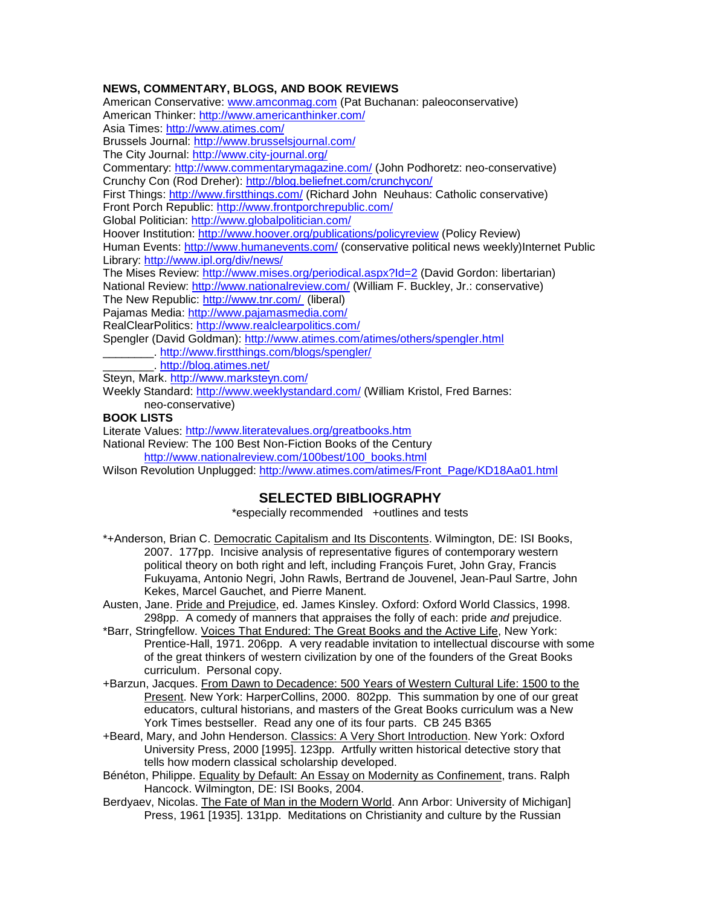#### **NEWS, COMMENTARY, BLOGS, AND BOOK REVIEWS**

American Conservative: [www.amconmag.com](http://www.amconmag.com/) (Pat Buchanan: paleoconservative) American Thinker:<http://www.americanthinker.com/> Asia Times: <http://www.atimes.com/> Brussels Journal:<http://www.brusselsjournal.com/> The City Journal:<http://www.city-journal.org/> Commentary:<http://www.commentarymagazine.com/> (John Podhoretz: neo-conservative) Crunchy Con (Rod Dreher):<http://blog.beliefnet.com/crunchycon/> First Things:<http://www.firstthings.com/> (Richard John Neuhaus: Catholic conservative) Front Porch Republic:<http://www.frontporchrepublic.com/> Global Politician:<http://www.globalpolitician.com/> Hoover Institution:<http://www.hoover.org/publications/policyreview> (Policy Review) Human Events:<http://www.humanevents.com/> (conservative political news weekly)Internet Public Library:<http://www.ipl.org/div/news/> The Mises Review:<http://www.mises.org/periodical.aspx?Id=2> (David Gordon: libertarian) National Review: <http://www.nationalreview.com/> (William F. Buckley, Jr.: conservative) The New Republic:<http://www.tnr.com/>(liberal) Pajamas Media:<http://www.pajamasmedia.com/> RealClearPolitics:<http://www.realclearpolitics.com/> Spengler (David Goldman):<http://www.atimes.com/atimes/others/spengler.html> \_\_\_\_\_\_\_\_.<http://www.firstthings.com/blogs/spengler/> \_\_\_\_\_\_\_\_.<http://blog.atimes.net/> Steyn, Mark.<http://www.marksteyn.com/> Weekly Standard:<http://www.weeklystandard.com/> (William Kristol, Fred Barnes:

neo-conservative)

### **BOOK LISTS**

Literate Values:<http://www.literatevalues.org/greatbooks.htm>

National Review: The 100 Best Non-Fiction Books of the Century

[http://www.nationalreview.com/100best/100\\_books.html](http://www.nationalreview.com/100best/100_books.html)

Wilson Revolution Unplugged: [http://www.atimes.com/atimes/Front\\_Page/KD18Aa01.html](http://www.atimes.com/atimes/Front_Page/KD18Aa01.html)

### **SELECTED BIBLIOGRAPHY**

\*especially recommended +outlines and tests

- \*+Anderson, Brian C. Democratic Capitalism and Its Discontents. Wilmington, DE: ISI Books, 2007. 177pp. Incisive analysis of representative figures of contemporary western political theory on both right and left, including François Furet, John Gray, Francis Fukuyama, Antonio Negri, John Rawls, Bertrand de Jouvenel, Jean-Paul Sartre, John Kekes, Marcel Gauchet, and Pierre Manent.
- Austen, Jane. Pride and Prejudice, ed. James Kinsley. Oxford: Oxford World Classics, 1998. 298pp. A comedy of manners that appraises the folly of each: pride *and* prejudice.
- \*Barr, Stringfellow. Voices That Endured: The Great Books and the Active Life, New York: Prentice-Hall, 1971. 206pp. A very readable invitation to intellectual discourse with some of the great thinkers of western civilization by one of the founders of the Great Books curriculum. Personal copy.
- +Barzun, Jacques. From Dawn to Decadence: 500 Years of Western Cultural Life: 1500 to the Present. New York: HarperCollins, 2000. 802pp. This summation by one of our great educators, cultural historians, and masters of the Great Books curriculum was a New York Times bestseller. Read any one of its four parts. CB 245 B365
- +Beard, Mary, and John Henderson. Classics: A Very Short Introduction. New York: Oxford University Press, 2000 [1995]. 123pp. Artfully written historical detective story that tells how modern classical scholarship developed.
- Bénéton, Philippe. Equality by Default: An Essay on Modernity as Confinement, trans. Ralph Hancock. Wilmington, DE: ISI Books, 2004.
- Berdyaev, Nicolas. The Fate of Man in the Modern World. Ann Arbor: University of Michigan] Press, 1961 [1935]. 131pp. Meditations on Christianity and culture by the Russian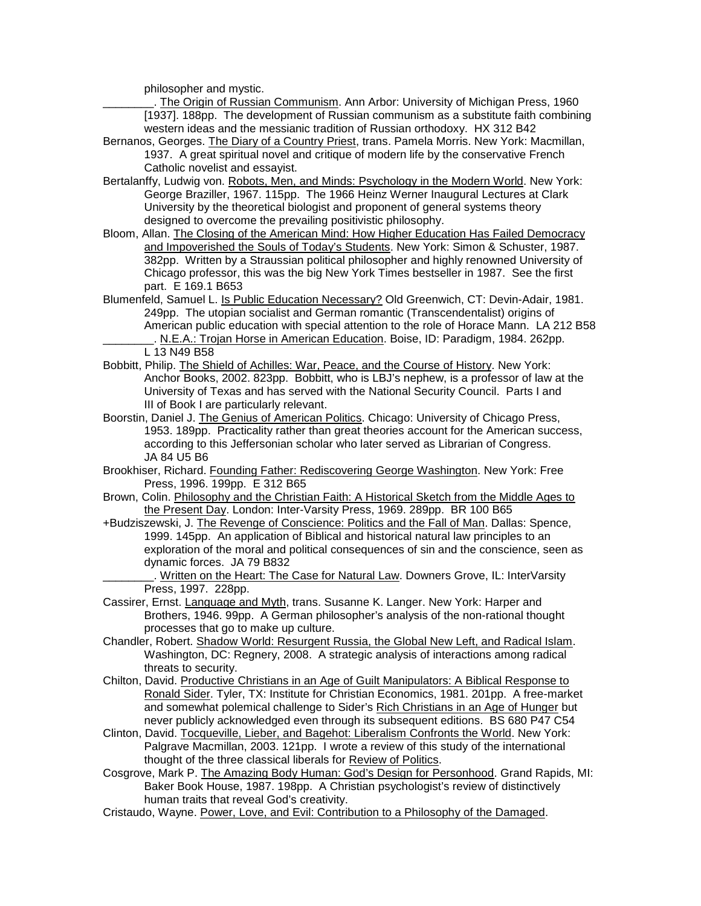philosopher and mystic.

\_\_\_\_\_\_\_\_. The Origin of Russian Communism. Ann Arbor: University of Michigan Press, 1960 [1937]. 188pp. The development of Russian communism as a substitute faith combining western ideas and the messianic tradition of Russian orthodoxy. HX 312 B42

- Bernanos, Georges. The Diary of a Country Priest, trans. Pamela Morris. New York: Macmillan, 1937. A great spiritual novel and critique of modern life by the conservative French Catholic novelist and essayist.
- Bertalanffy, Ludwig von. Robots, Men, and Minds: Psychology in the Modern World. New York: George Braziller, 1967. 115pp. The 1966 Heinz Werner Inaugural Lectures at Clark University by the theoretical biologist and proponent of general systems theory designed to overcome the prevailing positivistic philosophy.
- Bloom, Allan. The Closing of the American Mind: How Higher Education Has Failed Democracy and Impoverished the Souls of Today's Students. New York: Simon & Schuster, 1987. 382pp. Written by a Straussian political philosopher and highly renowned University of Chicago professor, this was the big New York Times bestseller in 1987. See the first part. E 169.1 B653
- Blumenfeld, Samuel L. Is Public Education Necessary? Old Greenwich, CT: Devin-Adair, 1981. 249pp. The utopian socialist and German romantic (Transcendentalist) origins of American public education with special attention to the role of Horace Mann. LA 212 B58 . N.E.A.: Trojan Horse in American Education. Boise, ID: Paradigm, 1984. 262pp. L 13 N49 B58
- Bobbitt, Philip. The Shield of Achilles: War, Peace, and the Course of History. New York: Anchor Books, 2002. 823pp. Bobbitt, who is LBJ's nephew, is a professor of law at the University of Texas and has served with the National Security Council. Parts I and III of Book I are particularly relevant.
- Boorstin, Daniel J. The Genius of American Politics. Chicago: University of Chicago Press, 1953. 189pp. Practicality rather than great theories account for the American success, according to this Jeffersonian scholar who later served as Librarian of Congress. JA 84 U5 B6
- Brookhiser, Richard. Founding Father: Rediscovering George Washington. New York: Free Press, 1996. 199pp. E 312 B65
- Brown, Colin. Philosophy and the Christian Faith: A Historical Sketch from the Middle Ages to the Present Day. London: Inter-Varsity Press, 1969. 289pp. BR 100 B65
- +Budziszewski, J. The Revenge of Conscience: Politics and the Fall of Man. Dallas: Spence, 1999. 145pp. An application of Biblical and historical natural law principles to an exploration of the moral and political consequences of sin and the conscience, seen as dynamic forces. JA 79 B832
	- \_\_\_\_\_\_\_\_. Written on the Heart: The Case for Natural Law. Downers Grove, IL: InterVarsity Press, 1997. 228pp.
- Cassirer, Ernst. Language and Myth, trans. Susanne K. Langer. New York: Harper and Brothers, 1946. 99pp. A German philosopher's analysis of the non-rational thought processes that go to make up culture.
- Chandler, Robert. Shadow World: Resurgent Russia, the Global New Left, and Radical Islam. Washington, DC: Regnery, 2008. A strategic analysis of interactions among radical threats to security.
- Chilton, David. Productive Christians in an Age of Guilt Manipulators: A Biblical Response to Ronald Sider. Tyler, TX: Institute for Christian Economics, 1981. 201pp. A free-market and somewhat polemical challenge to Sider's Rich Christians in an Age of Hunger but never publicly acknowledged even through its subsequent editions. BS 680 P47 C54
- Clinton, David. Tocqueville, Lieber, and Bagehot: Liberalism Confronts the World. New York: Palgrave Macmillan, 2003. 121pp. I wrote a review of this study of the international thought of the three classical liberals for Review of Politics.
- Cosgrove, Mark P. The Amazing Body Human: God's Design for Personhood. Grand Rapids, MI: Baker Book House, 1987. 198pp. A Christian psychologist's review of distinctively human traits that reveal God's creativity.
- Cristaudo, Wayne. Power, Love, and Evil: Contribution to a Philosophy of the Damaged.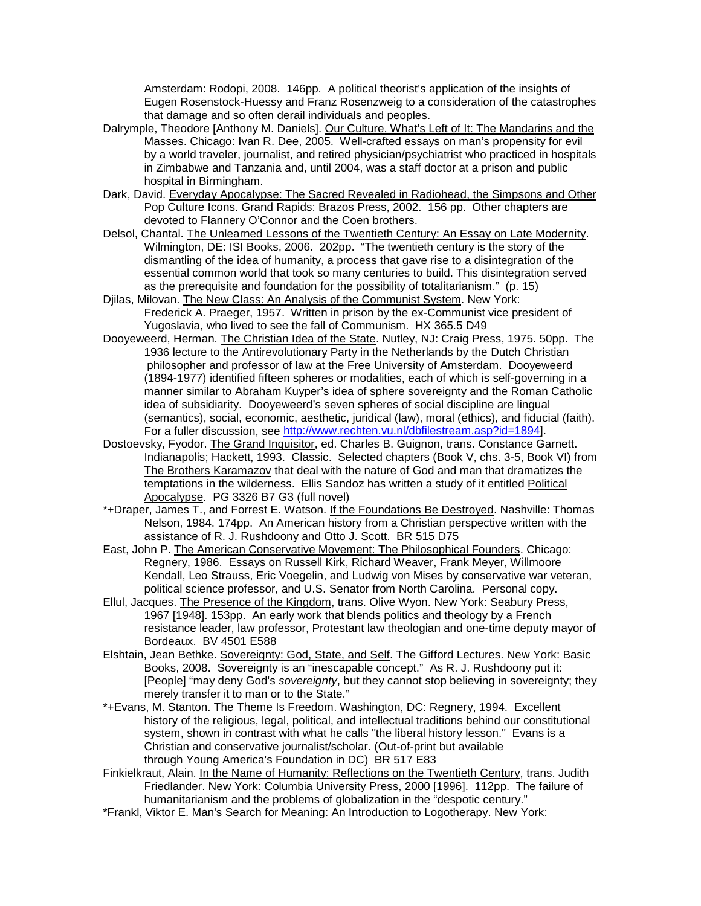Amsterdam: Rodopi, 2008. 146pp. A political theorist's application of the insights of Eugen Rosenstock-Huessy and Franz Rosenzweig to a consideration of the catastrophes that damage and so often derail individuals and peoples.

- Dalrymple, Theodore [Anthony M. Daniels]. Our Culture, What's Left of It: The Mandarins and the Masses. Chicago: Ivan R. Dee, 2005. Well-crafted essays on man's propensity for evil by a world traveler, journalist, and retired physician/psychiatrist who practiced in hospitals in Zimbabwe and Tanzania and, until 2004, was a staff doctor at a prison and public hospital in Birmingham.
- Dark, David. Everyday Apocalypse: The Sacred Revealed in Radiohead, the Simpsons and Other Pop Culture Icons. Grand Rapids: Brazos Press, 2002. 156 pp. Other chapters are devoted to Flannery O'Connor and the Coen brothers.
- Delsol, Chantal. The Unlearned Lessons of the Twentieth Century: An Essay on Late Modernity. Wilmington, DE: ISI Books, 2006. 202pp. "The twentieth century is the story of the dismantling of the idea of humanity, a process that gave rise to a disintegration of the essential common world that took so many centuries to build. This disintegration served as the prerequisite and foundation for the possibility of totalitarianism." (p. 15)
- Djilas, Milovan. The New Class: An Analysis of the Communist System. New York: Frederick A. Praeger, 1957. Written in prison by the ex-Communist vice president of Yugoslavia, who lived to see the fall of Communism. HX 365.5 D49
- Dooyeweerd, Herman. The Christian Idea of the State. Nutley, NJ: Craig Press, 1975. 50pp. The 1936 lecture to the Antirevolutionary Party in the Netherlands by the Dutch Christian philosopher and professor of law at the Free University of Amsterdam. Dooyeweerd (1894-1977) identified fifteen spheres or modalities, each of which is self-governing in a manner similar to Abraham Kuyper's idea of sphere sovereignty and the Roman Catholic idea of subsidiarity. Dooyeweerd's seven spheres of social discipline are lingual (semantics), social, economic, aesthetic, juridical (law), moral (ethics), and fiducial (faith). For a fuller discussion, see [http://www.rechten.vu.nl/dbfilestream.asp?id=1894\]](http://www.rechten.vu.nl/dbfilestream.asp?id=1894).
- Dostoevsky, Fyodor. The Grand Inquisitor, ed. Charles B. Guignon, trans. Constance Garnett. Indianapolis; Hackett, 1993. Classic. Selected chapters (Book V, chs. 3-5, Book VI) from The Brothers Karamazov that deal with the nature of God and man that dramatizes the temptations in the wilderness. Ellis Sandoz has written a study of it entitled Political Apocalypse. PG 3326 B7 G3 (full novel)
- \*+Draper, James T., and Forrest E. Watson. If the Foundations Be Destroyed. Nashville: Thomas Nelson, 1984. 174pp. An American history from a Christian perspective written with the assistance of R. J. Rushdoony and Otto J. Scott. BR 515 D75
- East, John P. The American Conservative Movement: The Philosophical Founders. Chicago: Regnery, 1986. Essays on Russell Kirk, Richard Weaver, Frank Meyer, Willmoore Kendall, Leo Strauss, Eric Voegelin, and Ludwig von Mises by conservative war veteran, political science professor, and U.S. Senator from North Carolina. Personal copy.
- Ellul, Jacques. The Presence of the Kingdom, trans. Olive Wyon. New York: Seabury Press, 1967 [1948]. 153pp. An early work that blends politics and theology by a French resistance leader, law professor, Protestant law theologian and one-time deputy mayor of Bordeaux. BV 4501 E588
- Elshtain, Jean Bethke. Sovereignty: God, State, and Self. The Gifford Lectures. New York: Basic Books, 2008. Sovereignty is an "inescapable concept." As R. J. Rushdoony put it: [People] "may deny God's *sovereignty*, but they cannot stop believing in sovereignty; they merely transfer it to man or to the State."
- \*+Evans, M. Stanton. The Theme Is Freedom. Washington, DC: Regnery, 1994. Excellent history of the religious, legal, political, and intellectual traditions behind our constitutional system, shown in contrast with what he calls "the liberal history lesson." Evans is a Christian and conservative journalist/scholar. (Out-of-print but available through Young America's Foundation in DC) BR 517 E83
- Finkielkraut, Alain. In the Name of Humanity: Reflections on the Twentieth Century, trans. Judith Friedlander. New York: Columbia University Press, 2000 [1996]. 112pp. The failure of humanitarianism and the problems of globalization in the "despotic century."
- \*Frankl, Viktor E. Man's Search for Meaning: An Introduction to Logotherapy. New York: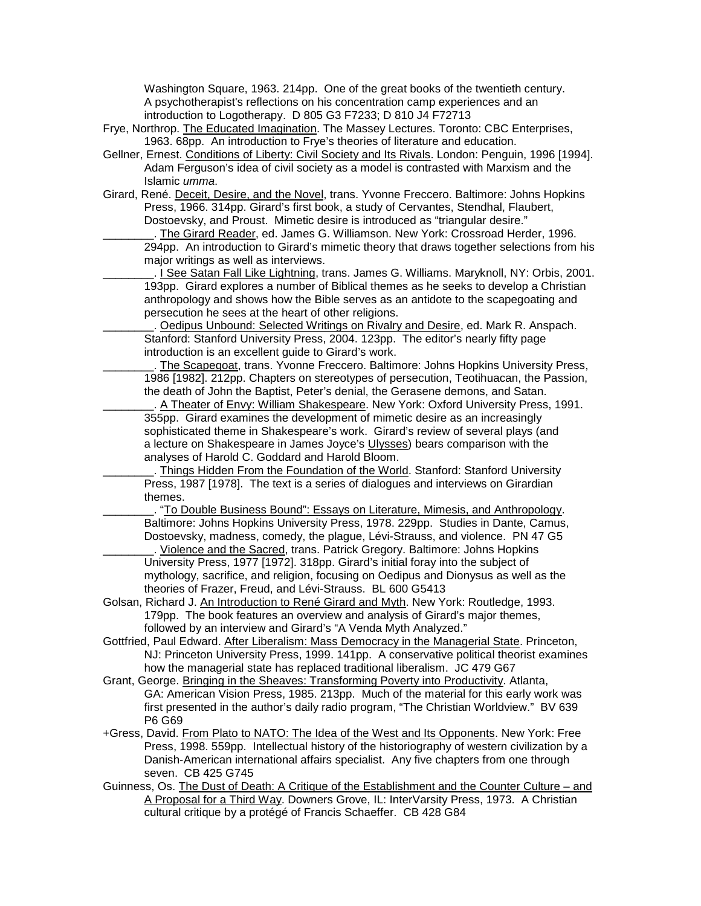Washington Square, 1963. 214pp. One of the great books of the twentieth century. A psychotherapist's reflections on his concentration camp experiences and an introduction to Logotherapy. D 805 G3 F7233; D 810 J4 F72713

Frye, Northrop. The Educated Imagination. The Massey Lectures. Toronto: CBC Enterprises, 1963. 68pp. An introduction to Frye's theories of literature and education.

- Gellner, Ernest. Conditions of Liberty: Civil Society and Its Rivals. London: Penguin, 1996 [1994]. Adam Ferguson's idea of civil society as a model is contrasted with Marxism and the Islamic *umma*.
- Girard, René. Deceit, Desire, and the Novel, trans. Yvonne Freccero. Baltimore: Johns Hopkins Press, 1966. 314pp. Girard's first book, a study of Cervantes, Stendhal, Flaubert, Dostoevsky, and Proust. Mimetic desire is introduced as "triangular desire."

The Girard Reader, ed. James G. Williamson. New York: Crossroad Herder, 1996. 294pp. An introduction to Girard's mimetic theory that draws together selections from his major writings as well as interviews.

I See Satan Fall Like Lightning, trans. James G. Williams. Maryknoll, NY: Orbis, 2001. 193pp. Girard explores a number of Biblical themes as he seeks to develop a Christian anthropology and shows how the Bible serves as an antidote to the scapegoating and persecution he sees at the heart of other religions.

. Oedipus Unbound: Selected Writings on Rivalry and Desire, ed. Mark R. Anspach. Stanford: Stanford University Press, 2004. 123pp. The editor's nearly fifty page introduction is an excellent guide to Girard's work.

\_\_\_\_\_\_\_\_. The Scapegoat, trans. Yvonne Freccero. Baltimore: Johns Hopkins University Press, 1986 [1982]. 212pp. Chapters on stereotypes of persecution, Teotihuacan, the Passion, the death of John the Baptist, Peter's denial, the Gerasene demons, and Satan.

A Theater of Envy: William Shakespeare. New York: Oxford University Press, 1991. 355pp. Girard examines the development of mimetic desire as an increasingly sophisticated theme in Shakespeare's work. Girard's review of several plays (and a lecture on Shakespeare in James Joyce's Ulysses) bears comparison with the analyses of Harold C. Goddard and Harold Bloom.

\_\_\_\_\_\_\_\_. Things Hidden From the Foundation of the World. Stanford: Stanford University Press, 1987 [1978]. The text is a series of dialogues and interviews on Girardian themes.

\_\_\_\_\_\_\_\_. "To Double Business Bound": Essays on Literature, Mimesis, and Anthropology. Baltimore: Johns Hopkins University Press, 1978. 229pp. Studies in Dante, Camus, Dostoevsky, madness, comedy, the plague, Lévi-Strauss, and violence. PN 47 G5 Violence and the Sacred, trans. Patrick Gregory. Baltimore: Johns Hopkins

University Press, 1977 [1972]. 318pp. Girard's initial foray into the subject of mythology, sacrifice, and religion, focusing on Oedipus and Dionysus as well as the theories of Frazer, Freud, and Lévi-Strauss. BL 600 G5413

Golsan, Richard J. An Introduction to René Girard and Myth. New York: Routledge, 1993. 179pp. The book features an overview and analysis of Girard's major themes, followed by an interview and Girard's "A Venda Myth Analyzed."

Gottfried, Paul Edward. After Liberalism: Mass Democracy in the Managerial State. Princeton, NJ: Princeton University Press, 1999. 141pp. A conservative political theorist examines how the managerial state has replaced traditional liberalism. JC 479 G67

Grant, George. Bringing in the Sheaves: Transforming Poverty into Productivity. Atlanta, GA: American Vision Press, 1985. 213pp. Much of the material for this early work was first presented in the author's daily radio program, "The Christian Worldview." BV 639 P6 G69

+Gress, David. From Plato to NATO: The Idea of the West and Its Opponents. New York: Free Press, 1998. 559pp. Intellectual history of the historiography of western civilization by a Danish-American international affairs specialist. Any five chapters from one through seven. CB 425 G745

Guinness, Os. The Dust of Death: A Critique of the Establishment and the Counter Culture – and A Proposal for a Third Way. Downers Grove, IL: InterVarsity Press, 1973. A Christian cultural critique by a protégé of Francis Schaeffer. CB 428 G84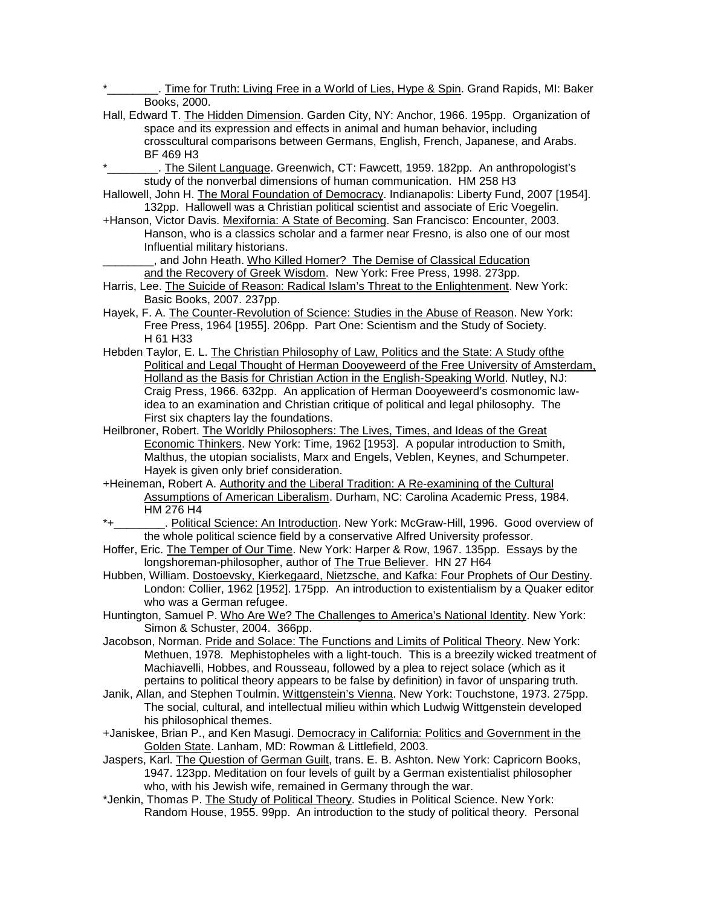Time for Truth: Living Free in a World of Lies, Hype & Spin. Grand Rapids, MI: Baker Books, 2000.

- Hall, Edward T. The Hidden Dimension. Garden City, NY: Anchor, 1966. 195pp. Organization of space and its expression and effects in animal and human behavior, including crosscultural comparisons between Germans, English, French, Japanese, and Arabs. BF 469 H3
- . The Silent Language. Greenwich, CT: Fawcett, 1959. 182pp. An anthropologist's study of the nonverbal dimensions of human communication. HM 258 H3
- Hallowell, John H. The Moral Foundation of Democracy. Indianapolis: Liberty Fund, 2007 [1954]. 132pp. Hallowell was a Christian political scientist and associate of Eric Voegelin.
- +Hanson, Victor Davis. Mexifornia: A State of Becoming. San Francisco: Encounter, 2003. Hanson, who is a classics scholar and a farmer near Fresno, is also one of our most Influential military historians.

..., and John Heath. Who Killed Homer? The Demise of Classical Education and the Recovery of Greek Wisdom. New York: Free Press, 1998. 273pp.

- Harris, Lee. The Suicide of Reason: Radical Islam's Threat to the Enlightenment. New York: Basic Books, 2007. 237pp.
- Hayek, F. A. The Counter-Revolution of Science: Studies in the Abuse of Reason. New York: Free Press, 1964 [1955]. 206pp. Part One: Scientism and the Study of Society. H 61 H33
- Hebden Taylor, E. L. The Christian Philosophy of Law, Politics and the State: A Study ofthe Political and Legal Thought of Herman Dooyeweerd of the Free University of Amsterdam, Holland as the Basis for Christian Action in the English-Speaking World. Nutley, NJ: Craig Press, 1966. 632pp. An application of Herman Dooyeweerd's cosmonomic lawidea to an examination and Christian critique of political and legal philosophy. The First six chapters lay the foundations.
- Heilbroner, Robert. The Worldly Philosophers: The Lives, Times, and Ideas of the Great Economic Thinkers. New York: Time, 1962 [1953]. A popular introduction to Smith, Malthus, the utopian socialists, Marx and Engels, Veblen, Keynes, and Schumpeter. Hayek is given only brief consideration.
- +Heineman, Robert A. Authority and the Liberal Tradition: A Re-examining of the Cultural Assumptions of American Liberalism. Durham, NC: Carolina Academic Press, 1984. HM 276 H4
- Political Science: An Introduction. New York: McGraw-Hill, 1996. Good overview of the whole political science field by a conservative Alfred University professor.
- Hoffer, Eric. The Temper of Our Time. New York: Harper & Row, 1967. 135pp. Essays by the longshoreman-philosopher, author of The True Believer. HN 27 H64
- Hubben, William. Dostoevsky, Kierkegaard, Nietzsche, and Kafka: Four Prophets of Our Destiny. London: Collier, 1962 [1952]. 175pp. An introduction to existentialism by a Quaker editor who was a German refugee.
- Huntington, Samuel P. Who Are We? The Challenges to America's National Identity. New York: Simon & Schuster, 2004. 366pp.
- Jacobson, Norman. Pride and Solace: The Functions and Limits of Political Theory. New York: Methuen, 1978. Mephistopheles with a light-touch. This is a breezily wicked treatment of Machiavelli, Hobbes, and Rousseau, followed by a plea to reject solace (which as it pertains to political theory appears to be false by definition) in favor of unsparing truth.
- Janik, Allan, and Stephen Toulmin. Wittgenstein's Vienna. New York: Touchstone, 1973. 275pp. The social, cultural, and intellectual milieu within which Ludwig Wittgenstein developed his philosophical themes.
- +Janiskee, Brian P., and Ken Masugi. Democracy in California: Politics and Government in the Golden State. Lanham, MD: Rowman & Littlefield, 2003.
- Jaspers, Karl. The Question of German Guilt, trans. E. B. Ashton. New York: Capricorn Books, 1947. 123pp. Meditation on four levels of guilt by a German existentialist philosopher who, with his Jewish wife, remained in Germany through the war.
- \*Jenkin, Thomas P. The Study of Political Theory. Studies in Political Science. New York: Random House, 1955. 99pp. An introduction to the study of political theory. Personal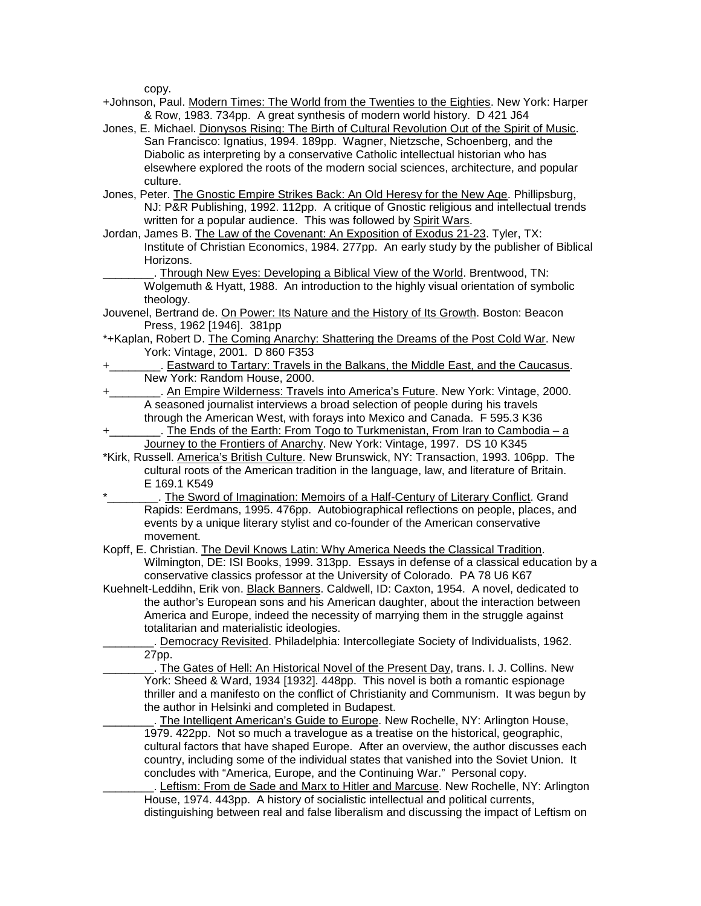copy.

- +Johnson, Paul. Modern Times: The World from the Twenties to the Eighties. New York: Harper & Row, 1983. 734pp. A great synthesis of modern world history. D 421 J64
- Jones, E. Michael. Dionysos Rising: The Birth of Cultural Revolution Out of the Spirit of Music. San Francisco: Ignatius, 1994. 189pp. Wagner, Nietzsche, Schoenberg, and the Diabolic as interpreting by a conservative Catholic intellectual historian who has elsewhere explored the roots of the modern social sciences, architecture, and popular culture.
- Jones, Peter. The Gnostic Empire Strikes Back: An Old Heresy for the New Age. Phillipsburg, NJ: P&R Publishing, 1992. 112pp. A critique of Gnostic religious and intellectual trends written for a popular audience. This was followed by Spirit Wars.
- Jordan, James B. The Law of the Covenant: An Exposition of Exodus 21-23. Tyler, TX: Institute of Christian Economics, 1984. 277pp. An early study by the publisher of Biblical Horizons.
	- Through New Eyes: Developing a Biblical View of the World. Brentwood, TN: Wolgemuth & Hyatt, 1988. An introduction to the highly visual orientation of symbolic theology.
- Jouvenel, Bertrand de. On Power: Its Nature and the History of Its Growth. Boston: Beacon Press, 1962 [1946]. 381pp
- \*+Kaplan, Robert D. The Coming Anarchy: Shattering the Dreams of the Post Cold War. New York: Vintage, 2001. D 860 F353
- . Eastward to Tartary: Travels in the Balkans, the Middle East, and the Caucasus. New York: Random House, 2000.
- . An Empire Wilderness: Travels into America's Future. New York: Vintage, 2000. A seasoned journalist interviews a broad selection of people during his travels through the American West, with forays into Mexico and Canada. F 595.3 K36
- The Ends of the Earth: From Togo to Turkmenistan, From Iran to Cambodia a Journey to the Frontiers of Anarchy. New York: Vintage, 1997. DS 10 K345
- \*Kirk, Russell. America's British Culture. New Brunswick, NY: Transaction, 1993. 106pp. The cultural roots of the American tradition in the language, law, and literature of Britain. E 169.1 K549
- . The Sword of Imagination: Memoirs of a Half-Century of Literary Conflict. Grand Rapids: Eerdmans, 1995. 476pp. Autobiographical reflections on people, places, and events by a unique literary stylist and co-founder of the American conservative movement.
- Kopff, E. Christian. The Devil Knows Latin: Why America Needs the Classical Tradition. Wilmington, DE: ISI Books, 1999. 313pp. Essays in defense of a classical education by a conservative classics professor at the University of Colorado. PA 78 U6 K67
- Kuehnelt-Leddihn, Erik von. Black Banners. Caldwell, ID: Caxton, 1954. A novel, dedicated to the author's European sons and his American daughter, about the interaction between America and Europe, indeed the necessity of marrying them in the struggle against totalitarian and materialistic ideologies.
- . Democracy Revisited. Philadelphia: Intercollegiate Society of Individualists, 1962. 27pp.
	- The Gates of Hell: An Historical Novel of the Present Day, trans. I. J. Collins. New York: Sheed & Ward, 1934 [1932]. 448pp. This novel is both a romantic espionage thriller and a manifesto on the conflict of Christianity and Communism. It was begun by the author in Helsinki and completed in Budapest.
		- The Intelligent American's Guide to Europe. New Rochelle, NY: Arlington House, 1979. 422pp. Not so much a travelogue as a treatise on the historical, geographic, cultural factors that have shaped Europe. After an overview, the author discusses each country, including some of the individual states that vanished into the Soviet Union. It concludes with "America, Europe, and the Continuing War." Personal copy.

. Leftism: From de Sade and Marx to Hitler and Marcuse. New Rochelle, NY: Arlington House, 1974. 443pp. A history of socialistic intellectual and political currents, distinguishing between real and false liberalism and discussing the impact of Leftism on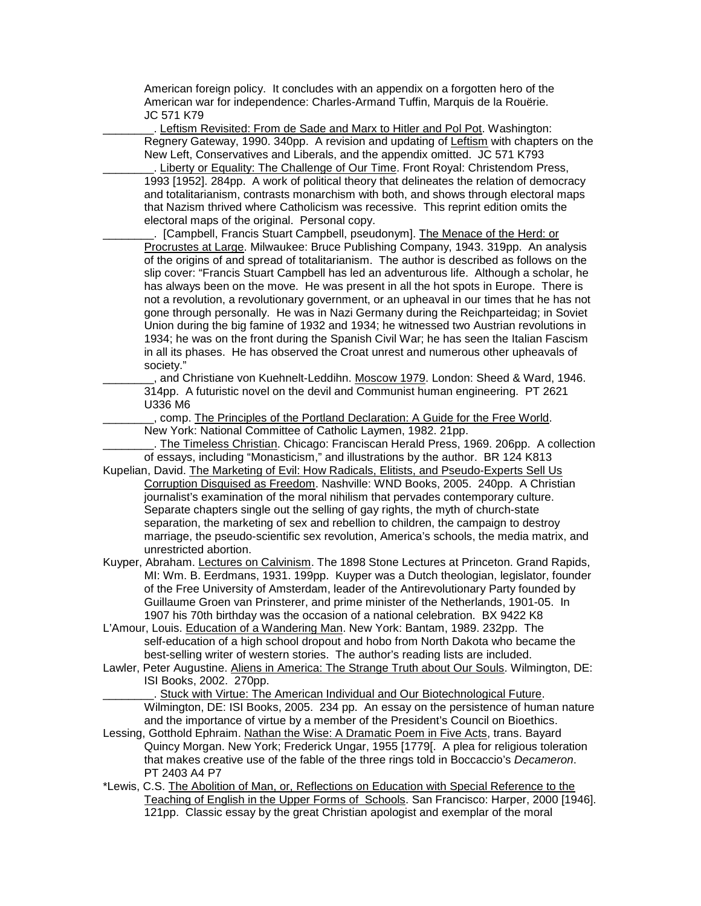American foreign policy. It concludes with an appendix on a forgotten hero of the American war for independence: Charles-Armand Tuffin, Marquis de la Rouërie. JC 571 K79

\_\_\_\_\_\_\_\_. Leftism Revisited: From de Sade and Marx to Hitler and Pol Pot. Washington:

Regnery Gateway, 1990. 340pp. A revision and updating of Leftism with chapters on the New Left, Conservatives and Liberals, and the appendix omitted. JC 571 K793

Liberty or Equality: The Challenge of Our Time. Front Royal: Christendom Press, 1993 [1952]. 284pp. A work of political theory that delineates the relation of democracy and totalitarianism, contrasts monarchism with both, and shows through electoral maps that Nazism thrived where Catholicism was recessive. This reprint edition omits the electoral maps of the original. Personal copy.

\_\_\_\_\_\_\_\_. [Campbell, Francis Stuart Campbell, pseudonym]. The Menace of the Herd: or Procrustes at Large. Milwaukee: Bruce Publishing Company, 1943. 319pp. An analysis of the origins of and spread of totalitarianism. The author is described as follows on the slip cover: "Francis Stuart Campbell has led an adventurous life. Although a scholar, he has always been on the move. He was present in all the hot spots in Europe. There is not a revolution, a revolutionary government, or an upheaval in our times that he has not gone through personally. He was in Nazi Germany during the Reichparteidag; in Soviet Union during the big famine of 1932 and 1934; he witnessed two Austrian revolutions in 1934; he was on the front during the Spanish Civil War; he has seen the Italian Fascism in all its phases. He has observed the Croat unrest and numerous other upheavals of society."

and Christiane von Kuehnelt-Leddihn. Moscow 1979. London: Sheed & Ward, 1946. 314pp. A futuristic novel on the devil and Communist human engineering. PT 2621 U336 M6

\_\_\_\_\_\_\_\_, comp. The Principles of the Portland Declaration: A Guide for the Free World. New York: National Committee of Catholic Laymen, 1982. 21pp.

\_\_\_\_\_\_\_\_. The Timeless Christian. Chicago: Franciscan Herald Press, 1969. 206pp. A collection of essays, including "Monasticism," and illustrations by the author. BR 124 K813

- Kupelian, David. The Marketing of Evil: How Radicals, Elitists, and Pseudo-Experts Sell Us Corruption Disguised as Freedom. Nashville: WND Books, 2005. 240pp. A Christian journalist's examination of the moral nihilism that pervades contemporary culture. Separate chapters single out the selling of gay rights, the myth of church-state separation, the marketing of sex and rebellion to children, the campaign to destroy marriage, the pseudo-scientific sex revolution, America's schools, the media matrix, and unrestricted abortion.
- Kuyper, Abraham. Lectures on Calvinism. The 1898 Stone Lectures at Princeton. Grand Rapids, MI: Wm. B. Eerdmans, 1931. 199pp. Kuyper was a Dutch theologian, legislator, founder of the Free University of Amsterdam, leader of the Antirevolutionary Party founded by Guillaume Groen van Prinsterer, and prime minister of the Netherlands, 1901-05. In 1907 his 70th birthday was the occasion of a national celebration. BX 9422 K8
- L'Amour, Louis. Education of a Wandering Man. New York: Bantam, 1989. 232pp. The self-education of a high school dropout and hobo from North Dakota who became the best-selling writer of western stories. The author's reading lists are included.
- Lawler, Peter Augustine. Aliens in America: The Strange Truth about Our Souls. Wilmington, DE: ISI Books, 2002. 270pp.

Stuck with Virtue: The American Individual and Our Biotechnological Future. Wilmington, DE: ISI Books, 2005. 234 pp. An essay on the persistence of human nature and the importance of virtue by a member of the President's Council on Bioethics.

Lessing, Gotthold Ephraim. Nathan the Wise: A Dramatic Poem in Five Acts, trans. Bayard Quincy Morgan. New York; Frederick Ungar, 1955 [1779[. A plea for religious toleration that makes creative use of the fable of the three rings told in Boccaccio's *Decameron*. PT 2403 A4 P7

\*Lewis, C.S. The Abolition of Man, or, Reflections on Education with Special Reference to the Teaching of English in the Upper Forms of Schools. San Francisco: Harper, 2000 [1946]. 121pp. Classic essay by the great Christian apologist and exemplar of the moral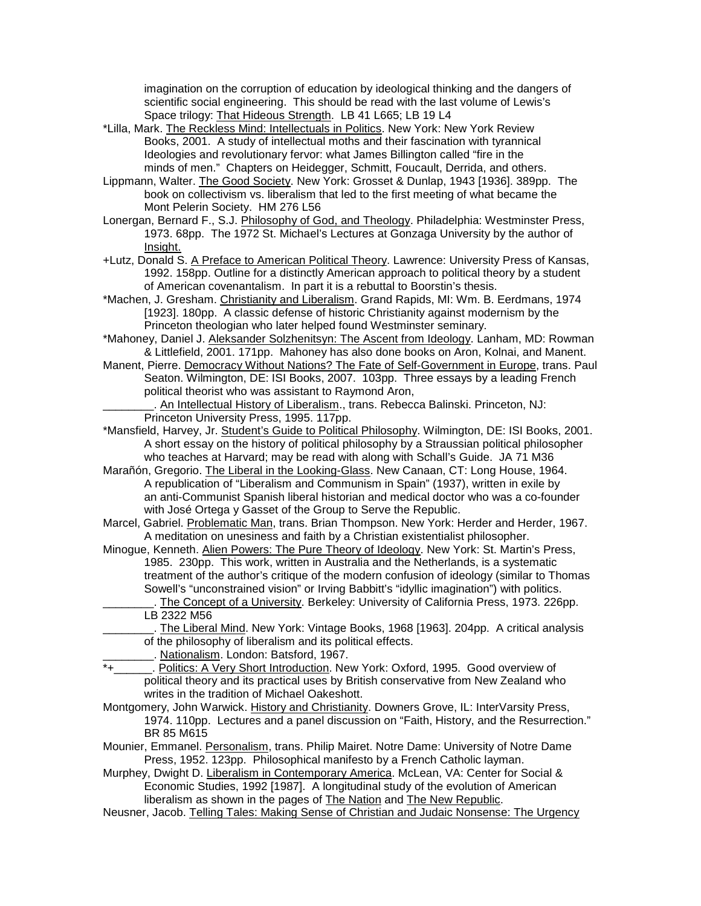imagination on the corruption of education by ideological thinking and the dangers of scientific social engineering. This should be read with the last volume of Lewis's Space trilogy: That Hideous Strength. LB 41 L665; LB 19 L4

- \*Lilla, Mark. The Reckless Mind: Intellectuals in Politics. New York: New York Review Books, 2001. A study of intellectual moths and their fascination with tyrannical Ideologies and revolutionary fervor: what James Billington called "fire in the minds of men." Chapters on Heidegger, Schmitt, Foucault, Derrida, and others.
- Lippmann, Walter. The Good Society. New York: Grosset & Dunlap, 1943 [1936]. 389pp. The book on collectivism vs. liberalism that led to the first meeting of what became the Mont Pelerin Society. HM 276 L56
- Lonergan, Bernard F., S.J. Philosophy of God, and Theology. Philadelphia: Westminster Press, 1973. 68pp. The 1972 St. Michael's Lectures at Gonzaga University by the author of Insight.
- +Lutz, Donald S. A Preface to American Political Theory. Lawrence: University Press of Kansas, 1992. 158pp. Outline for a distinctly American approach to political theory by a student of American covenantalism. In part it is a rebuttal to Boorstin's thesis.
- \*Machen, J. Gresham. Christianity and Liberalism. Grand Rapids, MI: Wm. B. Eerdmans, 1974 [1923]. 180pp. A classic defense of historic Christianity against modernism by the Princeton theologian who later helped found Westminster seminary.
- \*Mahoney, Daniel J. Aleksander Solzhenitsyn: The Ascent from Ideology. Lanham, MD: Rowman & Littlefield, 2001. 171pp. Mahoney has also done books on Aron, Kolnai, and Manent.
- Manent, Pierre. Democracy Without Nations? The Fate of Self-Government in Europe, trans. Paul Seaton. Wilmington, DE: ISI Books, 2007. 103pp. Three essays by a leading French political theorist who was assistant to Raymond Aron,
	- An Intellectual History of Liberalism., trans. Rebecca Balinski. Princeton, NJ: Princeton University Press, 1995. 117pp.
- \*Mansfield, Harvey, Jr. Student's Guide to Political Philosophy. Wilmington, DE: ISI Books, 2001. A short essay on the history of political philosophy by a Straussian political philosopher who teaches at Harvard; may be read with along with Schall's Guide. JA 71 M36
- Marañón, Gregorio. The Liberal in the Looking-Glass. New Canaan, CT: Long House, 1964. A republication of "Liberalism and Communism in Spain" (1937), written in exile by an anti-Communist Spanish liberal historian and medical doctor who was a co-founder with José Ortega y Gasset of the Group to Serve the Republic.
- Marcel, Gabriel. Problematic Man, trans. Brian Thompson. New York: Herder and Herder, 1967. A meditation on unesiness and faith by a Christian existentialist philosopher.
- Minogue, Kenneth. Alien Powers: The Pure Theory of Ideology. New York: St. Martin's Press, 1985. 230pp. This work, written in Australia and the Netherlands, is a systematic treatment of the author's critique of the modern confusion of ideology (similar to Thomas Sowell's "unconstrained vision" or Irving Babbitt's "idyllic imagination") with politics.
	- The Concept of a University. Berkeley: University of California Press, 1973. 226pp. LB 2322 M56
	- \_\_\_\_\_\_\_\_. The Liberal Mind. New York: Vintage Books, 1968 [1963]. 204pp. A critical analysis of the philosophy of liberalism and its political effects.
- **Example 2. Althonalism.** London: Batsford, 1967.<br> **Example:** Politics: A Very Short Introduction. Net
- . Politics: A Very Short Introduction. New York: Oxford, 1995. Good overview of political theory and its practical uses by British conservative from New Zealand who writes in the tradition of Michael Oakeshott.
- Montgomery, John Warwick. History and Christianity. Downers Grove, IL: InterVarsity Press, 1974. 110pp. Lectures and a panel discussion on "Faith, History, and the Resurrection." BR 85 M615
- Mounier, Emmanel. Personalism, trans. Philip Mairet. Notre Dame: University of Notre Dame Press, 1952. 123pp. Philosophical manifesto by a French Catholic layman.
- Murphey, Dwight D. Liberalism in Contemporary America. McLean, VA: Center for Social & Economic Studies, 1992 [1987]. A longitudinal study of the evolution of American liberalism as shown in the pages of The Nation and The New Republic.
- Neusner, Jacob. Telling Tales: Making Sense of Christian and Judaic Nonsense: The Urgency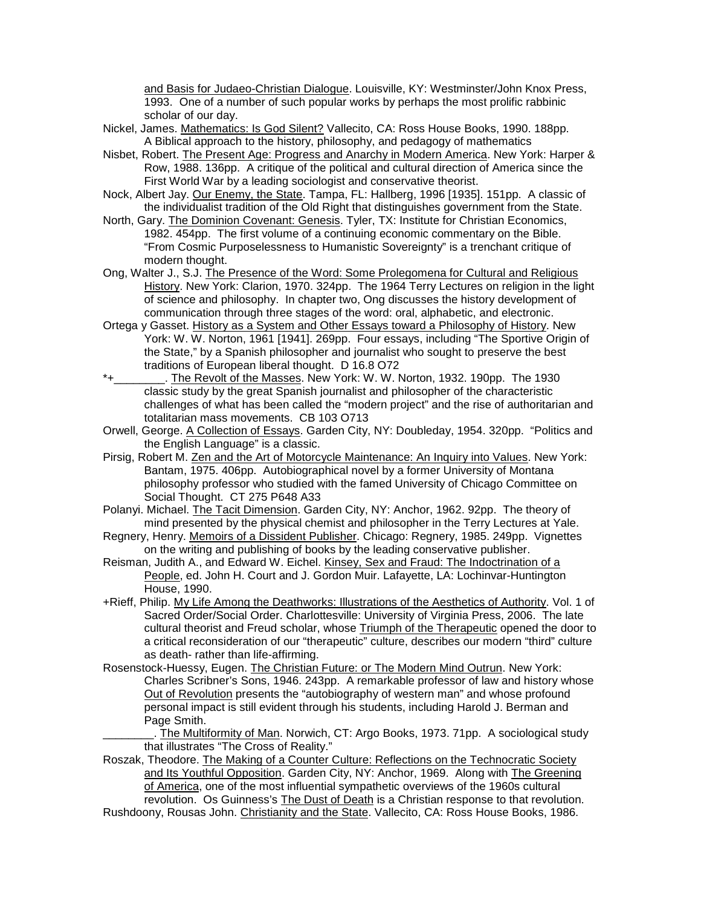and Basis for Judaeo-Christian Dialogue. Louisville, KY: Westminster/John Knox Press, 1993. One of a number of such popular works by perhaps the most prolific rabbinic scholar of our day.

- Nickel, James. Mathematics: Is God Silent? Vallecito, CA: Ross House Books, 1990. 188pp. A Biblical approach to the history, philosophy, and pedagogy of mathematics
- Nisbet, Robert. The Present Age: Progress and Anarchy in Modern America. New York: Harper & Row, 1988. 136pp. A critique of the political and cultural direction of America since the First World War by a leading sociologist and conservative theorist.
- Nock, Albert Jay. Our Enemy, the State. Tampa, FL: Hallberg, 1996 [1935]. 151pp. A classic of the individualist tradition of the Old Right that distinguishes government from the State.
- North, Gary. The Dominion Covenant: Genesis. Tyler, TX: Institute for Christian Economics, 1982. 454pp. The first volume of a continuing economic commentary on the Bible. "From Cosmic Purposelessness to Humanistic Sovereignty" is a trenchant critique of modern thought.
- Ong, Walter J., S.J. The Presence of the Word: Some Prolegomena for Cultural and Religious History. New York: Clarion, 1970. 324pp. The 1964 Terry Lectures on religion in the light of science and philosophy. In chapter two, Ong discusses the history development of communication through three stages of the word: oral, alphabetic, and electronic.
- Ortega y Gasset. History as a System and Other Essays toward a Philosophy of History. New York: W. W. Norton, 1961 [1941]. 269pp. Four essays, including "The Sportive Origin of the State," by a Spanish philosopher and journalist who sought to preserve the best traditions of European liberal thought. D 16.8 O72
- The Revolt of the Masses. New York: W. W. Norton, 1932. 190pp. The 1930 classic study by the great Spanish journalist and philosopher of the characteristic challenges of what has been called the "modern project" and the rise of authoritarian and totalitarian mass movements. CB 103 O713
- Orwell, George. A Collection of Essays. Garden City, NY: Doubleday, 1954. 320pp. "Politics and the English Language" is a classic.
- Pirsig, Robert M. Zen and the Art of Motorcycle Maintenance: An Inquiry into Values. New York: Bantam, 1975. 406pp. Autobiographical novel by a former University of Montana philosophy professor who studied with the famed University of Chicago Committee on Social Thought. CT 275 P648 A33
- Polanyi. Michael. The Tacit Dimension. Garden City, NY: Anchor, 1962. 92pp. The theory of mind presented by the physical chemist and philosopher in the Terry Lectures at Yale.
- Regnery, Henry. Memoirs of a Dissident Publisher. Chicago: Regnery, 1985. 249pp. Vignettes on the writing and publishing of books by the leading conservative publisher.
- Reisman, Judith A., and Edward W. Eichel. Kinsey, Sex and Fraud: The Indoctrination of a People, ed. John H. Court and J. Gordon Muir. Lafayette, LA: Lochinvar-Huntington House, 1990.
- +Rieff, Philip. My Life Among the Deathworks: Illustrations of the Aesthetics of Authority. Vol. 1 of Sacred Order/Social Order. Charlottesville: University of Virginia Press, 2006. The late cultural theorist and Freud scholar, whose Triumph of the Therapeutic opened the door to a critical reconsideration of our "therapeutic" culture, describes our modern "third" culture as death- rather than life-affirming.
- Rosenstock-Huessy, Eugen. The Christian Future: or The Modern Mind Outrun. New York: Charles Scribner's Sons, 1946. 243pp. A remarkable professor of law and history whose Out of Revolution presents the "autobiography of western man" and whose profound personal impact is still evident through his students, including Harold J. Berman and Page Smith.

. The Multiformity of Man. Norwich, CT: Argo Books, 1973. 71pp. A sociological study that illustrates "The Cross of Reality."

- Roszak, Theodore. The Making of a Counter Culture: Reflections on the Technocratic Society and Its Youthful Opposition. Garden City, NY: Anchor, 1969. Along with The Greening of America, one of the most influential sympathetic overviews of the 1960s cultural revolution. Os Guinness's The Dust of Death is a Christian response to that revolution.
- Rushdoony, Rousas John. Christianity and the State. Vallecito, CA: Ross House Books, 1986.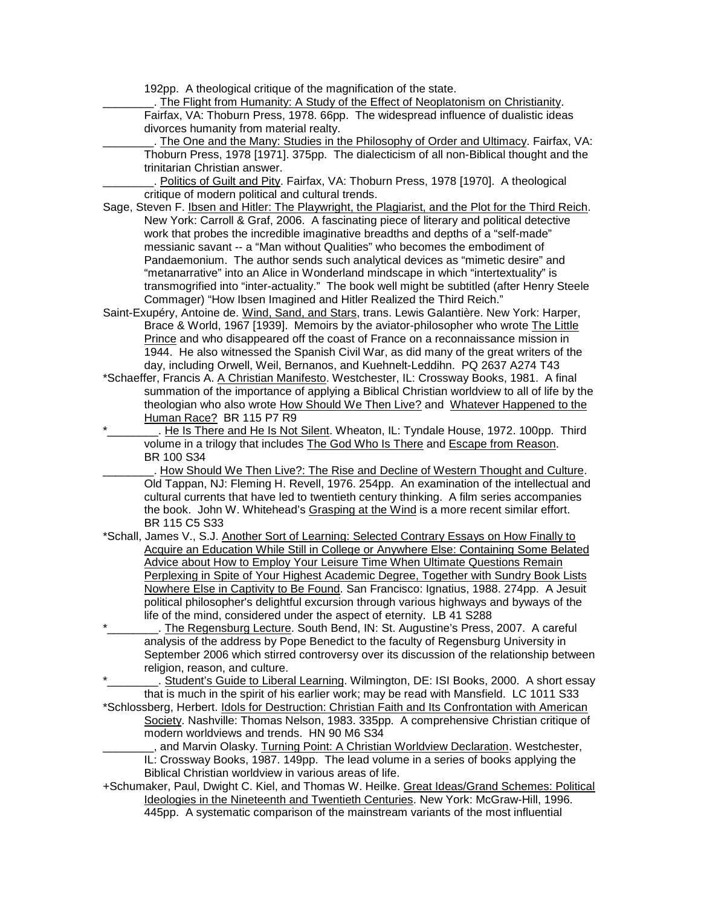192pp. A theological critique of the magnification of the state.

The Flight from Humanity: A Study of the Effect of Neoplatonism on Christianity. Fairfax, VA: Thoburn Press, 1978. 66pp. The widespread influence of dualistic ideas divorces humanity from material realty.

The One and the Many: Studies in the Philosophy of Order and Ultimacy. Fairfax, VA: Thoburn Press, 1978 [1971]. 375pp. The dialecticism of all non-Biblical thought and the trinitarian Christian answer.

Politics of Guilt and Pity. Fairfax, VA: Thoburn Press, 1978 [1970]. A theological critique of modern political and cultural trends.

- Sage, Steven F. Ibsen and Hitler: The Playwright, the Plagiarist, and the Plot for the Third Reich. New York: Carroll & Graf, 2006. A fascinating piece of literary and political detective work that probes the incredible imaginative breadths and depths of a "self-made" messianic savant -- a "Man without Qualities" who becomes the embodiment of Pandaemonium. The author sends such analytical devices as "mimetic desire" and "metanarrative" into an Alice in Wonderland mindscape in which "intertextuality" is transmogrified into "inter-actuality." The book well might be subtitled (after Henry Steele Commager) "How Ibsen Imagined and Hitler Realized the Third Reich."
- Saint-Exupéry, Antoine de. Wind, Sand, and Stars, trans. Lewis Galantière. New York: Harper, Brace & World, 1967 [1939]. Memoirs by the aviator-philosopher who wrote The Little Prince and who disappeared off the coast of France on a reconnaissance mission in 1944. He also witnessed the Spanish Civil War, as did many of the great writers of the day, including Orwell, Weil, Bernanos, and Kuehnelt-Leddihn. PQ 2637 A274 T43
- \*Schaeffer, Francis A. A Christian Manifesto. Westchester, IL: Crossway Books, 1981. A final summation of the importance of applying a Biblical Christian worldview to all of life by the theologian who also wrote How Should We Then Live? and Whatever Happened to the Human Race? BR 115 P7 R9
- . He Is There and He Is Not Silent. Wheaton, IL: Tyndale House, 1972. 100pp. Third volume in a trilogy that includes The God Who Is There and Escape from Reason. BR 100 S34
	- How Should We Then Live?: The Rise and Decline of Western Thought and Culture. Old Tappan, NJ: Fleming H. Revell, 1976. 254pp. An examination of the intellectual and cultural currents that have led to twentieth century thinking. A film series accompanies the book. John W. Whitehead's Grasping at the Wind is a more recent similar effort. BR 115 C5 S33
- \*Schall, James V., S.J. Another Sort of Learning: Selected Contrary Essays on How Finally to Acquire an Education While Still in College or Anywhere Else: Containing Some Belated Advice about How to Employ Your Leisure Time When Ultimate Questions Remain Perplexing in Spite of Your Highest Academic Degree, Together with Sundry Book Lists Nowhere Else in Captivity to Be Found. San Francisco: Ignatius, 1988. 274pp. A Jesuit political philosopher's delightful excursion through various highways and byways of the life of the mind, considered under the aspect of eternity. LB 41 S288
- . The Regensburg Lecture. South Bend, IN: St. Augustine's Press, 2007. A careful analysis of the address by Pope Benedict to the faculty of Regensburg University in September 2006 which stirred controversy over its discussion of the relationship between religion, reason, and culture.

Student's Guide to Liberal Learning. Wilmington, DE: ISI Books, 2000. A short essay that is much in the spirit of his earlier work; may be read with Mansfield. LC 1011 S33

\*Schlossberg, Herbert. Idols for Destruction: Christian Faith and Its Confrontation with American Society. Nashville: Thomas Nelson, 1983. 335pp. A comprehensive Christian critique of modern worldviews and trends. HN 90 M6 S34

<sub>\_</sub>, and Marvin Olasky. Turning Point: A Christian Worldview Declaration. Westchester, IL: Crossway Books, 1987. 149pp. The lead volume in a series of books applying the Biblical Christian worldview in various areas of life.

+Schumaker, Paul, Dwight C. Kiel, and Thomas W. Heilke. Great Ideas/Grand Schemes: Political Ideologies in the Nineteenth and Twentieth Centuries. New York: McGraw-Hill, 1996. 445pp. A systematic comparison of the mainstream variants of the most influential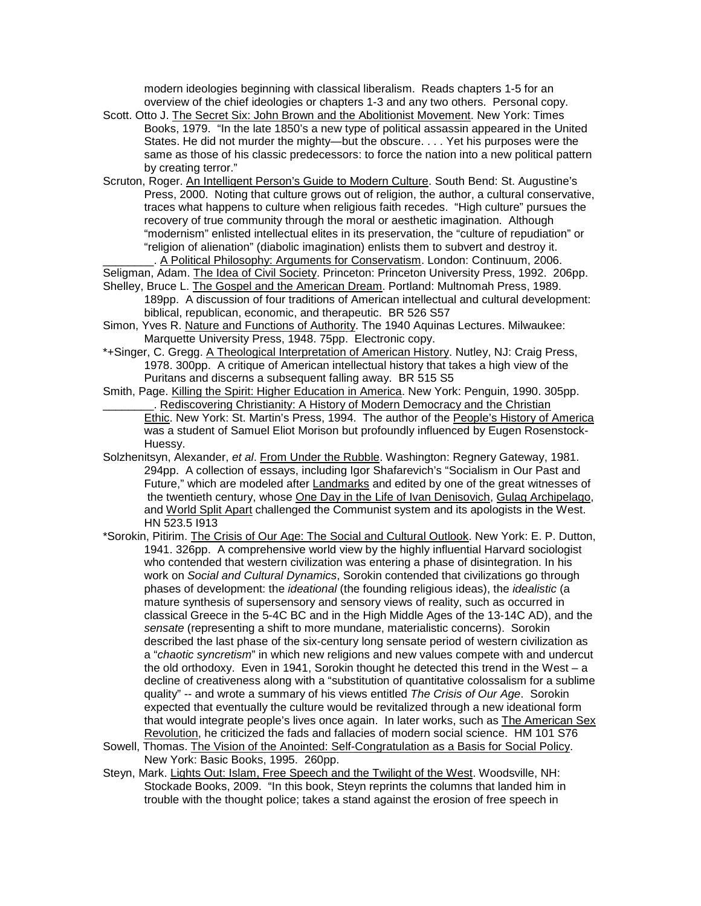modern ideologies beginning with classical liberalism. Reads chapters 1-5 for an overview of the chief ideologies or chapters 1-3 and any two others. Personal copy.

- Scott. Otto J. The Secret Six: John Brown and the Abolitionist Movement. New York: Times Books, 1979. "In the late 1850's a new type of political assassin appeared in the United States. He did not murder the mighty—but the obscure. . . . Yet his purposes were the same as those of his classic predecessors: to force the nation into a new political pattern by creating terror."
- Scruton, Roger. An Intelligent Person's Guide to Modern Culture. South Bend: St. Augustine's Press, 2000. Noting that culture grows out of religion, the author, a cultural conservative, traces what happens to culture when religious faith recedes. "High culture" pursues the recovery of true community through the moral or aesthetic imagination. Although "modernism" enlisted intellectual elites in its preservation, the "culture of repudiation" or "religion of alienation" (diabolic imagination) enlists them to subvert and destroy it. A Political Philosophy: Arguments for Conservatism. London: Continuum, 2006.

Seligman, Adam. The Idea of Civil Society. Princeton: Princeton University Press, 1992. 206pp. Shelley, Bruce L. The Gospel and the American Dream. Portland: Multnomah Press, 1989.

- 189pp. A discussion of four traditions of American intellectual and cultural development: biblical, republican, economic, and therapeutic. BR 526 S57
- Simon, Yves R. Nature and Functions of Authority. The 1940 Aquinas Lectures. Milwaukee: Marquette University Press, 1948. 75pp. Electronic copy.

\*+Singer, C. Gregg. A Theological Interpretation of American History. Nutley, NJ: Craig Press, 1978. 300pp. A critique of American intellectual history that takes a high view of the Puritans and discerns a subsequent falling away. BR 515 S5

Smith, Page. Killing the Spirit: Higher Education in America. New York: Penguin, 1990. 305pp. . Rediscovering Christianity: A History of Modern Democracy and the Christian Ethic. New York: St. Martin's Press, 1994. The author of the People's History of America

- was a student of Samuel Eliot Morison but profoundly influenced by Eugen Rosenstock-Huessy.
- Solzhenitsyn, Alexander, *et al*. From Under the Rubble. Washington: Regnery Gateway, 1981. 294pp. A collection of essays, including Igor Shafarevich's "Socialism in Our Past and Future," which are modeled after Landmarks and edited by one of the great witnesses of the twentieth century, whose One Day in the Life of Ivan Denisovich, Gulag Archipelago, and World Split Apart challenged the Communist system and its apologists in the West. HN 523.5 I913
- \*Sorokin, Pitirim. The Crisis of Our Age: The Social and Cultural Outlook. New York: E. P. Dutton, 1941. 326pp. A comprehensive world view by the highly influential Harvard sociologist who contended that western civilization was entering a phase of disintegration. In his work on *Social and Cultural Dynamics*, Sorokin contended that civilizations go through phases of development: the *ideational* (the founding religious ideas), the *idealistic* (a mature synthesis of supersensory and sensory views of reality, such as occurred in classical Greece in the 5-4C BC and in the High Middle Ages of the 13-14C AD), and the *sensate* (representing a shift to more mundane, materialistic concerns). Sorokin described the last phase of the six-century long sensate period of western civilization as a "*chaotic syncretism*" in which new religions and new values compete with and undercut the old orthodoxy. Even in 1941, Sorokin thought he detected this trend in the West – a decline of creativeness along with a "substitution of quantitative colossalism for a sublime quality" -- and wrote a summary of his views entitled *The Crisis of Our Age*. Sorokin expected that eventually the culture would be revitalized through a new ideational form that would integrate people's lives once again. In later works, such as The American Sex Revolution, he criticized the fads and fallacies of modern social science. HM 101 S76
- Sowell, Thomas. The Vision of the Anointed: Self-Congratulation as a Basis for Social Policy. New York: Basic Books, 1995. 260pp.
- Steyn, Mark. Lights Out: Islam, Free Speech and the Twilight of the West. Woodsville, NH: Stockade Books, 2009. "In this book, Steyn reprints the columns that landed him in trouble with the thought police; takes a stand against the erosion of free speech in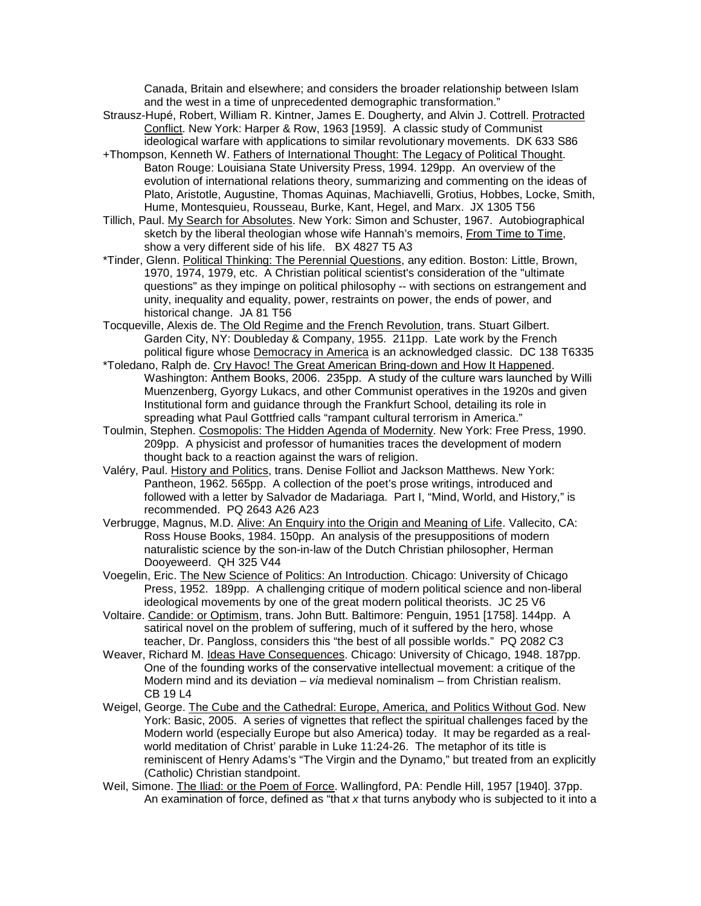Canada, Britain and elsewhere; and considers the broader relationship between Islam and the west in a time of unprecedented demographic transformation."

- Strausz-Hupé, Robert, William R. Kintner, James E. Dougherty, and Alvin J. Cottrell. Protracted Conflict. New York: Harper & Row, 1963 [1959]. A classic study of Communist ideological warfare with applications to similar revolutionary movements. DK 633 S86
- +Thompson, Kenneth W. Fathers of International Thought: The Legacy of Political Thought. Baton Rouge: Louisiana State University Press, 1994. 129pp. An overview of the evolution of international relations theory, summarizing and commenting on the ideas of Plato, Aristotle, Augustine, Thomas Aquinas, Machiavelli, Grotius, Hobbes, Locke, Smith, Hume, Montesquieu, Rousseau, Burke, Kant, Hegel, and Marx. JX 1305 T56
- Tillich, Paul. My Search for Absolutes. New York: Simon and Schuster, 1967. Autobiographical sketch by the liberal theologian whose wife Hannah's memoirs, From Time to Time, show a very different side of his life. BX 4827 T5 A3
- \*Tinder, Glenn. Political Thinking: The Perennial Questions, any edition. Boston: Little, Brown, 1970, 1974, 1979, etc. A Christian political scientist's consideration of the "ultimate questions" as they impinge on political philosophy -- with sections on estrangement and unity, inequality and equality, power, restraints on power, the ends of power, and historical change. JA 81 T56
- Tocqueville, Alexis de. The Old Regime and the French Revolution, trans. Stuart Gilbert. Garden City, NY: Doubleday & Company, 1955. 211pp. Late work by the French political figure whose Democracy in America is an acknowledged classic. DC 138 T6335
- \*Toledano, Ralph de. Cry Havoc! The Great American Bring-down and How It Happened. Washington: Anthem Books, 2006. 235pp. A study of the culture wars launched by Willi Muenzenberg, Gyorgy Lukacs, and other Communist operatives in the 1920s and given Institutional form and guidance through the Frankfurt School, detailing its role in spreading what Paul Gottfried calls "rampant cultural terrorism in America."
- Toulmin, Stephen. Cosmopolis: The Hidden Agenda of Modernity. New York: Free Press, 1990. 209pp. A physicist and professor of humanities traces the development of modern thought back to a reaction against the wars of religion.
- Valéry, Paul. History and Politics, trans. Denise Folliot and Jackson Matthews. New York: Pantheon, 1962. 565pp. A collection of the poet's prose writings, introduced and followed with a letter by Salvador de Madariaga. Part I, "Mind, World, and History," is recommended. PQ 2643 A26 A23
- Verbrugge, Magnus, M.D. Alive: An Enquiry into the Origin and Meaning of Life. Vallecito, CA: Ross House Books, 1984. 150pp. An analysis of the presuppositions of modern naturalistic science by the son-in-law of the Dutch Christian philosopher, Herman Dooyeweerd. QH 325 V44
- Voegelin, Eric. The New Science of Politics: An Introduction. Chicago: University of Chicago Press, 1952. 189pp. A challenging critique of modern political science and non-liberal ideological movements by one of the great modern political theorists. JC 25 V6
- Voltaire. Candide: or Optimism, trans. John Butt. Baltimore: Penguin, 1951 [1758]. 144pp. A satirical novel on the problem of suffering, much of it suffered by the hero, whose teacher, Dr. Pangloss, considers this "the best of all possible worlds." PQ 2082 C3
- Weaver, Richard M. Ideas Have Consequences. Chicago: University of Chicago, 1948. 187pp. One of the founding works of the conservative intellectual movement: a critique of the Modern mind and its deviation – *via* medieval nominalism – from Christian realism. CB 19 L4
- Weigel, George. The Cube and the Cathedral: Europe, America, and Politics Without God. New York: Basic, 2005. A series of vignettes that reflect the spiritual challenges faced by the Modern world (especially Europe but also America) today. It may be regarded as a realworld meditation of Christ' parable in Luke 11:24-26. The metaphor of its title is reminiscent of Henry Adams's "The Virgin and the Dynamo," but treated from an explicitly (Catholic) Christian standpoint.
- Weil, Simone. The Iliad: or the Poem of Force. Wallingford, PA: Pendle Hill, 1957 [1940]. 37pp. An examination of force, defined as "that *x* that turns anybody who is subjected to it into a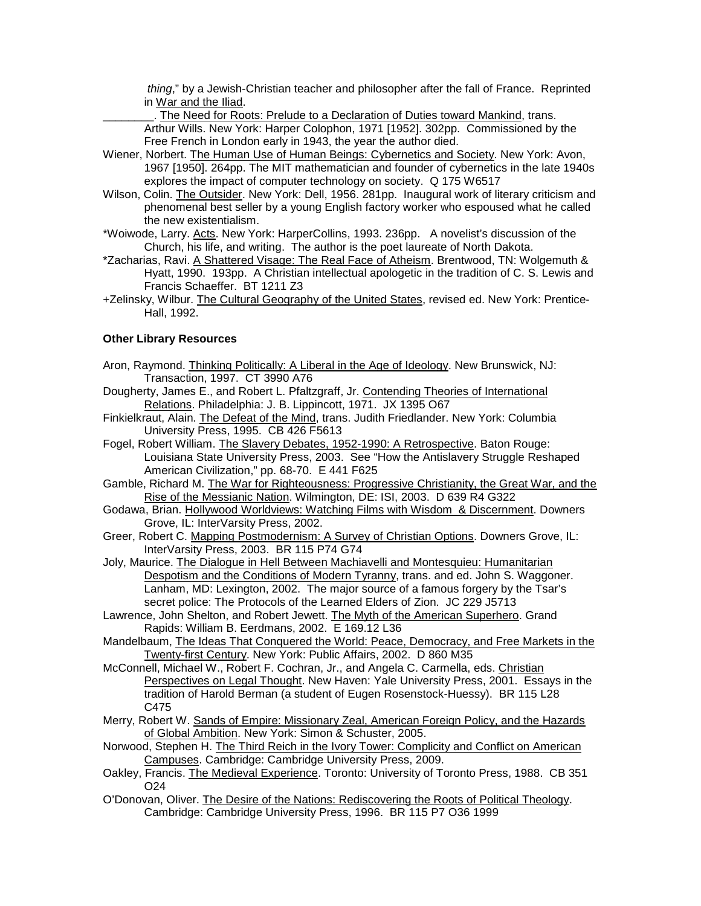*thing*," by a Jewish-Christian teacher and philosopher after the fall of France. Reprinted in War and the Iliad.

\_\_\_\_\_\_\_\_. The Need for Roots: Prelude to a Declaration of Duties toward Mankind, trans. Arthur Wills. New York: Harper Colophon, 1971 [1952]. 302pp. Commissioned by the Free French in London early in 1943, the year the author died.

- Wiener, Norbert. The Human Use of Human Beings: Cybernetics and Society. New York: Avon, 1967 [1950]. 264pp. The MIT mathematician and founder of cybernetics in the late 1940s explores the impact of computer technology on society. Q 175 W6517
- Wilson, Colin. The Outsider. New York: Dell, 1956. 281pp. Inaugural work of literary criticism and phenomenal best seller by a young English factory worker who espoused what he called the new existentialism.
- \*Woiwode, Larry. Acts. New York: HarperCollins, 1993. 236pp. A novelist's discussion of the Church, his life, and writing. The author is the poet laureate of North Dakota.
- \*Zacharias, Ravi. A Shattered Visage: The Real Face of Atheism. Brentwood, TN: Wolgemuth & Hyatt, 1990. 193pp. A Christian intellectual apologetic in the tradition of C. S. Lewis and Francis Schaeffer. BT 1211 Z3
- +Zelinsky, Wilbur. The Cultural Geography of the United States, revised ed. New York: Prentice-Hall, 1992.

#### **Other Library Resources**

- Aron, Raymond. Thinking Politically: A Liberal in the Age of Ideology. New Brunswick, NJ: Transaction, 1997. CT 3990 A76
- Dougherty, James E., and Robert L. Pfaltzgraff, Jr. Contending Theories of International Relations. Philadelphia: J. B. Lippincott, 1971. JX 1395 O67
- Finkielkraut, Alain. The Defeat of the Mind, trans. Judith Friedlander. New York: Columbia University Press, 1995. CB 426 F5613
- Fogel, Robert William. The Slavery Debates, 1952-1990: A Retrospective. Baton Rouge: Louisiana State University Press, 2003. See "How the Antislavery Struggle Reshaped American Civilization," pp. 68-70. E 441 F625
- Gamble, Richard M. The War for Righteousness: Progressive Christianity, the Great War, and the Rise of the Messianic Nation. Wilmington, DE: ISI, 2003. D 639 R4 G322
- Godawa, Brian. Hollywood Worldviews: Watching Films with Wisdom & Discernment. Downers Grove, IL: InterVarsity Press, 2002.
- Greer, Robert C. Mapping Postmodernism: A Survey of Christian Options. Downers Grove, IL: InterVarsity Press, 2003. BR 115 P74 G74
- Joly, Maurice. The Dialogue in Hell Between Machiavelli and Montesquieu: Humanitarian Despotism and the Conditions of Modern Tyranny, trans. and ed. John S. Waggoner. Lanham, MD: Lexington, 2002. The major source of a famous forgery by the Tsar's secret police: The Protocols of the Learned Elders of Zion. JC 229 J5713
- Lawrence, John Shelton, and Robert Jewett. The Myth of the American Superhero. Grand Rapids: William B. Eerdmans, 2002. E 169.12 L36
- Mandelbaum, The Ideas That Conquered the World: Peace, Democracy, and Free Markets in the Twenty-first Century. New York: Public Affairs, 2002. D 860 M35
- McConnell, Michael W., Robert F. Cochran, Jr., and Angela C. Carmella, eds. Christian Perspectives on Legal Thought. New Haven: Yale University Press, 2001. Essays in the tradition of Harold Berman (a student of Eugen Rosenstock-Huessy). BR 115 L28 C475
- Merry, Robert W. Sands of Empire: Missionary Zeal, American Foreign Policy, and the Hazards of Global Ambition. New York: Simon & Schuster, 2005.
- Norwood, Stephen H. The Third Reich in the Ivory Tower: Complicity and Conflict on American Campuses. Cambridge: Cambridge University Press, 2009.
- Oakley, Francis. The Medieval Experience. Toronto: University of Toronto Press, 1988. CB 351 O24
- O'Donovan, Oliver. The Desire of the Nations: Rediscovering the Roots of Political Theology. Cambridge: Cambridge University Press, 1996. BR 115 P7 O36 1999